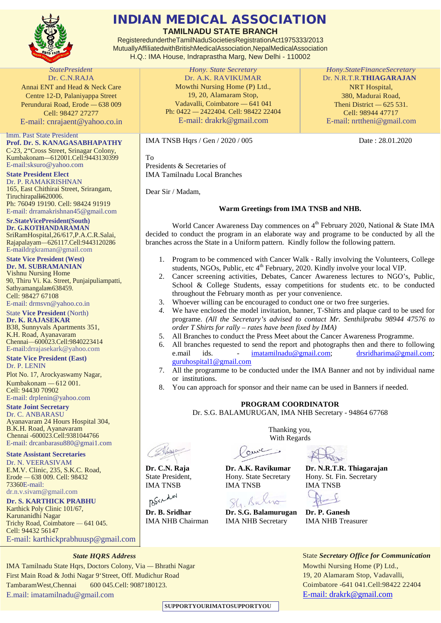

#### INDIAN MEDICAL ASSOCIATION

**TAMILNADU STATE BRANCH**

RegisteredundertheTamilNaduSocietiesRegistrationAct1975333/2013 MutuallyAffiliatedwithBritishMedicalAssociation,NepalMedicalAssociation H.Q.: IMA House, Indraprastha Marg, New Delhi - 110002

*StatePresident* Dr. C.N.RAJA Annai ENT and Head & Neck Care Centre 12-D, Palaniyappa Street Perundurai Road, Erode — 638 009 Cell: 98427 27277 E-mail: [cnrajaent@yahoo.co.in](mailto:cnrajaent@yahoo.co.in)

lmm. Past State President **Prof. Dr. S. KANAGASABHAPATHY**

C-23, 2"Cross Street, Srinagar Colony, Kumbakonam—612001.Cell:9443130399 E-mail[:sksuro@yahoo.com](mailto:sksuro@yahoo.com)

**State President Elect** Dr. P. RAMAKRISHNAN 165, East Chithirai Street, Srirangam, Tiruchirapalli620006. Ph: 76049 19190. Cell: 98424 91919 E-mail: [drramakrishnan45@gmail.com](mailto:drramakrishnan45@gmail.com)

**Sr.StateVicePresident(South) Dr. G.KOTHANDARAMAN** SriRamHospital,26/617,P.A.C.R.Salai, Rajapalayam—626117.Cell:9443120286 E-mai[ldrgkraman@gmail.com](mailto:drgkraman@gmail.com)

**State Vice President (West) Dr. M. SUBRAMANIAN** Vishnu Nursing Home

90, Thiru Vi. Ka. Street, Punjaipuliampatti, Sathyamangalam638459. Cell: 98427 67108 E-mail: [drmsvn@yahoo.co.in](mailto:drmsvn@yahoo.co.in) State **Vice President** (North)

**Dr. K. RAJASEKAR** B38, Sunnyvals Apartments 351, K.H. Road, Ayanavaram Chennai—600023.Cell:9840223414 E-mail[:drrajasekark@yahoo.com](mailto:drrajasekark@yahoo.com)

**State Vice President (East)**

Dr. P. LENIN Plot No. 17, Arockyaswamy Nagar, Kumbakonam — 612 001. Cell: 94430 70902 E-mail: [drplenin@yahoo.com](mailto:drplenin@yahoo.com)

**State Joint Secretary** Dr. C. ANBARASU Ayanavaram 24 Hours Hospital 304, B.K.H. Road, Ayanavaram Chennai -600023.Cell:9381044766 E-mail: [drcanbarasu880@gmai1.com](mailto:drcanbarasu880@gmai1.com)

**State Assistant Secretaries**

Dr. N. VEERASIVAM E.M.V. Clinic, 235, S.K.C. Road, Erode — 638 009. Cell: 98432 73360E-mail: [dr.n.v.sivam@gmail.com](mailto:dr.n.v.sivam@gmail.com)

**Dr. S. KARTHICK PRABHU**

Karthick Poly Clinic 101/67, Karunanidhi Nagar Trichy Road, Coimbatore — 641 045. Cell: 94432 56147 E-mail: [karthickprabhuusp@gmail.com](mailto:karthickprabhuusp@gmail.com)

*State HQRS Address*

IMA Tamilnadu State Hqrs, Doctors Colony, Via — Bhrathi Nagar First Main Road & Jothi Nagar 9'Street, Off. Mudichur Road TambaramWest,Chennai 600 045.Cell: 9087180123. E.mail: [imatamilnadu@gmail.com](mailto:imatamilnadu@gmail.com)

*Hony. State Secretary* Dr. A.K. RAVIKUMAR Mowthi Nursing Home (P) Ltd., 19, 20, Alamaram Stop, Vadavalli, Coimbatore — 641 041 Ph: 0422 — 2422404. Cell: 98422 22404 E-mail: [drakrk@gmail.com](mailto:drakrk@gmail.com)

IMA TNSB Hqrs / Gen / 2020 / 005 Date : 28.01.2020

To Presidents & Secretaries of IMA Tamilnadu Local Branches

Dear Sir / Madam,

#### **Warm Greetings from IMA TNSB and NHB.**

World Cancer Awareness Day commences on 4<sup>th</sup> February 2020, National & State IMA decided to conduct the program in an elaborate way and programe to be conducted by all the branches across the State in a Uniform pattern. Kindly follow the following pattern.

- 1. Program to be commenced with Cancer Walk Rally involving the Volunteers, College students, NGOs, Public, etc  $4<sup>th</sup>$  February, 2020. Kindly involve your local VIP.
- 2. Cancer screening activities, Debates, Cancer Awareness lectures to NGO's, Public, School & College Students, essay competitions for students etc. to be conducted throughout the February month as per your convenience.
- 3. Whoever willing can be encouraged to conduct one or two free surgeries.
- *4.* We have enclosed the model invitation, banner, T-Shirts and plaque card to be used for programe. *(All the Secretary's advised to contact Mr. Senthilprabu 98944 47576 to order T Shirts for rally – rates have been fixed by IMA)*
- 5. All Branches to conduct the Press Meet about the Cancer Awareness Programme.
- 6. All branches requested to send the report and photographs then and there to following e.mail ids.  $\frac{1}{\text{standard }Q \text{ }g\text{ }m\text{ and }l\text{ }comp}$ . ids.  $\qquad \qquad - \qquad \text{imatamilnadu@gmail.com};$ [guruhospital1@gmail.com](mailto:guruhospital1@gmail.com)
- 7. All the programme to be conducted under the IMA Banner and not by individual name or institutions.
- 8. You can approach for sponsor and their name can be used in Banners if needed.

#### **PROGRAM COORDINATOR**

Dr. S.G. BALAMURUGAN, IMA NHB Secretary - 94864 67768

State President, Hony. State Secretary Hony. St. Fin. Secretary IMA TNSB IMA TNSB IMA TNSB

BSVRAW

Thanking you, With Regards

auch

**Dr. C.N. Raja Dr. A.K. Ravikumar Dr. N.R.T.R. Thiagarajan**

Str. Bul

**Dr. B. Sridhar Dr. S.G. Balamurugan Dr. P. Ganesh** IMA NHB Chairman IMA NHB Secretary IMA NHB Treasurer

State *Secretary Office for Communication* Mowthi Nursing Home (P) Ltd., 19, 20 Alamaram Stop, Vadavalli, Coimbatore -641 041.Cell:98422 22404

[E-mail: drakrk@gmail.com](mailto:E-mail:%20drakrk@gmail.com)

**SUPPORTYOURIMATOSUPPORTYOU**

*Hony.StateFinanceSecretary* Dr. N.R.T.R.**THIAGARAJAN** NRT Hospital, 380, Madurai Road, Theni District — 625 531. Cell: 98944 47717 E-mail: [nrttheni@gmail.com](mailto:nrttheni@gmail.com)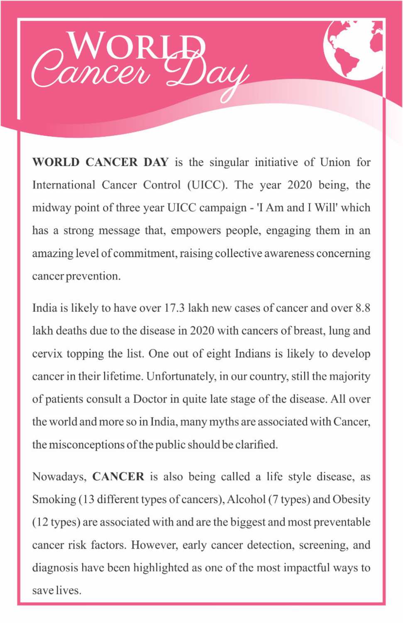

**WORLD CANCER DAY** is the singular initiative of Union for International Cancer Control (UICC). The year 2020 being, the midway point of three year UICC campaign - 'I Am and I Will' which has a strong message that, empowers people, engaging them in an amazing level of commitment, raising collective awareness concerning cancer prevention.

India is likely to have over 17.3 lakh new cases of cancer and over 8.8 lakh deaths due to the disease in 2020 with cancers of breast, lung and cervix topping the list. One out of eight Indians is likely to develop cancer in their lifetime. Unfortunately, in our country, still the majority of patients consult a Doctor in quite late stage of the disease. All over the world and more so in India, many myths are associated with Cancer,

the misconceptions of the public should be clarified.

Nowadays, CANCER is also being called a life style disease, as Smoking (13 different types of cancers), Alcohol (7 types) and Obesity (12 types) are associated with and are the biggest and most preventable cancer risk factors. However, early cancer detection, screening, and diagnosis have been highlighted as one of the most impactful ways to save lives.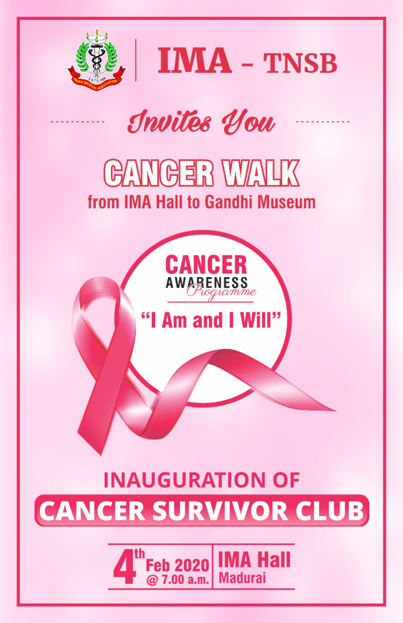



# Invites You

## **GANGER WALK** from IMA Hall to Gandhi Museum



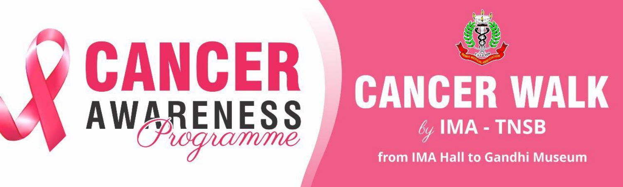





# **CANGER WALK**  $\ell_{\mathscr{G}}$  IMA - TNSB

### from IMA Hall to Gandhi Museum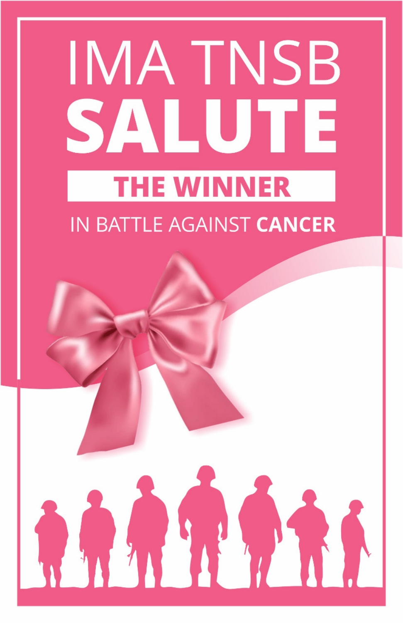# IMA TNSB SALUITE **THE WINNER** IN BATTLE AGAINST **CANCER**